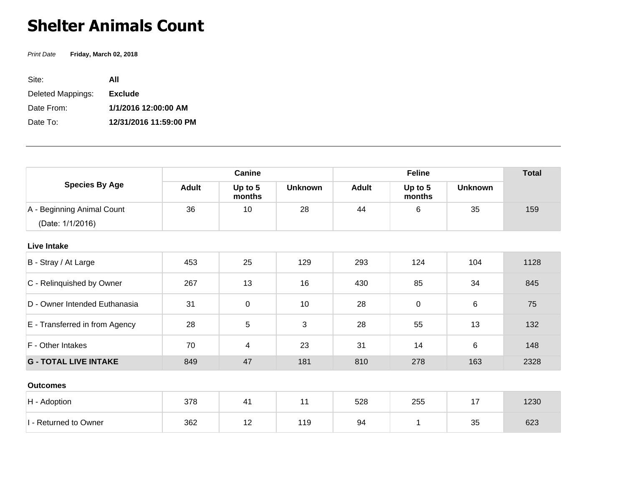## **Shelter Animals Count**

Print Date **Friday, March 02, 2018**

| Site:             | ΑII                    |
|-------------------|------------------------|
| Deleted Mappings: | <b>Exclude</b>         |
| Date From:        | 1/1/2016 12:00:00 AM   |
| Date To:          | 12/31/2016 11:59:00 PM |

| <b>Species By Age</b>          | Canine       |                   |                | <b>Feline</b> |                   |                | <b>Total</b> |
|--------------------------------|--------------|-------------------|----------------|---------------|-------------------|----------------|--------------|
|                                | <b>Adult</b> | Up to 5<br>months | <b>Unknown</b> | <b>Adult</b>  | Up to 5<br>months | <b>Unknown</b> |              |
| A - Beginning Animal Count     | 36           | 10                | 28             | 44            | 6                 | 35             | 159          |
| (Date: 1/1/2016)               |              |                   |                |               |                   |                |              |
| <b>Live Intake</b>             |              |                   |                |               |                   |                |              |
| B - Stray / At Large           | 453          | 25                | 129            | 293           | 124               | 104            | 1128         |
| C - Relinquished by Owner      | 267          | 13                | 16             | 430           | 85                | 34             | 845          |
| D - Owner Intended Euthanasia  | 31           | $\pmb{0}$         | 10             | 28            | $\overline{0}$    | 6              | 75           |
| E - Transferred in from Agency | 28           | 5                 | 3              | 28            | 55                | 13             | 132          |
| F - Other Intakes              | 70           | 4                 | 23             | 31            | 14                | 6              | 148          |
| <b>G - TOTAL LIVE INTAKE</b>   | 849          | 47                | 181            | 810           | 278               | 163            | 2328         |
| <b>Outcomes</b>                |              |                   |                |               |                   |                |              |
| H - Adoption                   | 378          | 41                | 11             | 528           | 255               | 17             | 1230         |
| I - Returned to Owner          | 362          | 12                | 119            | 94            | 1                 | 35             | 623          |